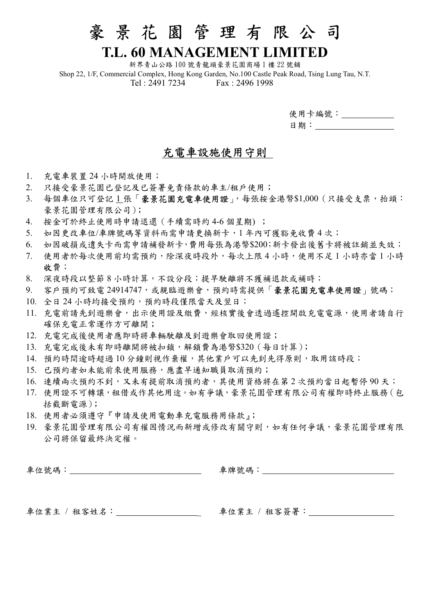## 豪 景 花 園 管 理 有 限 公 司

### T.L. 60 MANAGEMENT LIMITED

新界青山公路 100 號青龍頭豪景花園商場 1 樓 22 號舖 Shop 22, 1/F, Commercial Complex, Hong Kong Garden, No.100 Castle Peak Road, Tsing Lung Tau, N.T. Tel : 2491 7234 Fax : 2496 1998

| 使用卡編號: |
|--------|
| 日期:    |

#### 充電車設施使用守則

- 1. 充電車裝置 24 小時開放使用;
- 2. 只接受豪景花園已登記及已簽署免責條款的車主/租戶使用;
- 3. 每個車位只可登記1張「豪景花園充電車使用證」,每張按金港幣\$1,000 (只接受支票,抬頭: 豪景花園管理有限公司);
- 4. 按金可於終止使用時申請退還(手續需時約 4-6 個星期) ;
- 5. 如因更改車位/車牌號碼等資料而需申請更換新卡,1 年內可獲豁免收費 4 次;
- 6. 如因破損或遺失卡而需申請補發新卡,費用每張為港幣\$200;新卡發出後舊卡將被註銷並失效;
- 7. 使用者於每次使用前均需預約,除深夜時段外,每次上限 4 小時,使用不足 1 小時亦當 1 小時 收費;
- 8. 深夜時段以整節 8 小時計算,不設分段;提早駛離將不獲補退款或補時;
- 9. 客戶預約可致電 24914747,或親臨遊樂會,預約時需提供「豪景花園充電車使用證」號碼;
- 10. 全日 24 小時均接受預約,預約時段僅限當天及翌日;
- 11. 充電前請先到遊樂會,出示使用證及繳費,經核實後會透過遙控開啟充電電源,使用者請自行 確保充電正常運作方可離開;
- 12. 充電完成後使用者應即時將車輛駛離及到遊樂會取回使用證;
- 13. 充電完成後未有即時離開將被扣鎖,解鎖費為港幣\$320(每日計算);
- 14. 預約時間逾時超過 10 分鐘則視作棄權,其他業戶可以先到先得原則,取用該時段;
- 15. 已預約者如未能前來使用服務,應盡早通知職員取消預約;
- 16. 連續兩次預約不到,又未有提前取消預約者,其使用資格將在第2次預約當日起暫停90天;
- 17. 使用證不可轉讓,租借或作其他用途。如有爭議,豪景花園管理有限公司有權即時終止服務(包 括截斷電源);
- 18. 使用者必須遵守『申請及使用電動車充電服務用條款』;
- 19. 豪景花園管理有限公司有權因情況而新增或修改有關守則,如有任何爭議,豪景花園管理有限 公司將保留最終決定權。

| 車位號碼:        | 車牌號碼:        |
|--------------|--------------|
| 車位業主 / 租客姓名: | 車位業主 / 租客簽署: |